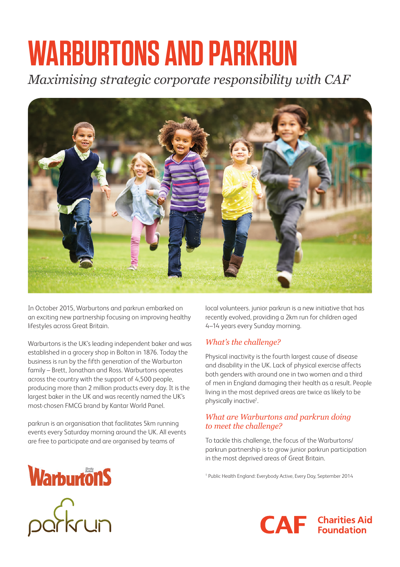# **WARBURTONS AND PARKRUN**

*Maximising strategic corporate responsibility with CAF* 



In October 2015, Warburtons and parkrun embarked on an exciting new partnership focusing on improving healthy lifestyles across Great Britain.

Warburtons is the UK's leading independent baker and was established in a grocery shop in Bolton in 1876. Today the business is run by the fifth generation of the Warburton family – Brett, Jonathan and Ross. Warburtons operates across the country with the support of 4,500 people, producing more than 2 million products every day. It is the largest baker in the UK and was recently named the UK's most-chosen FMCG brand by Kantar World Panel.

parkrun is an organisation that facilitates 5km running events every Saturday morning around the UK. All events are free to participate and are organised by teams of

local volunteers. junior parkrun is a new initiative that has recently evolved, providing a 2km run for children aged 4–14 years every Sunday morning.

#### *What's the challenge?*

Physical inactivity is the fourth largest cause of disease and disability in the UK. Lack of physical exercise affects both genders with around one in two women and a third of men in England damaging their health as a result. People living in the most deprived areas are twice as likely to be physically inactive<sup>1</sup>.

#### *What are Warburtons and parkrun doing to meet the challenge?*

To tackle this challenge, the focus of the Warburtons/ parkrun partnership is to grow junior parkrun participation in the most deprived areas of Great Britain.

1 Public Health England: Everybody Active, Every Day, September 2014